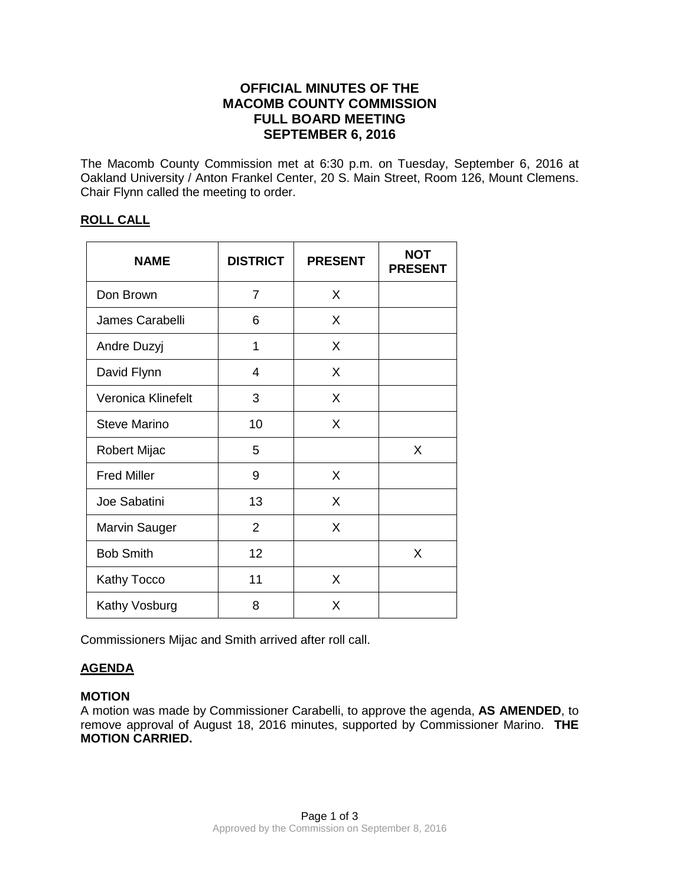## **OFFICIAL MINUTES OF THE MACOMB COUNTY COMMISSION FULL BOARD MEETING SEPTEMBER 6, 2016**

The Macomb County Commission met at 6:30 p.m. on Tuesday, September 6, 2016 at Oakland University / Anton Frankel Center, 20 S. Main Street, Room 126, Mount Clemens. Chair Flynn called the meeting to order.

### **ROLL CALL**

| <b>NAME</b>          | <b>DISTRICT</b> | <b>PRESENT</b> | <b>NOT</b><br><b>PRESENT</b> |
|----------------------|-----------------|----------------|------------------------------|
| Don Brown            | 7               | X              |                              |
| James Carabelli      | 6               | X              |                              |
| Andre Duzyj          | 1               | X              |                              |
| David Flynn          | 4               | X              |                              |
| Veronica Klinefelt   | 3               | X              |                              |
| <b>Steve Marino</b>  | 10              | X              |                              |
| Robert Mijac         | 5               |                | X                            |
| <b>Fred Miller</b>   | 9               | X              |                              |
| Joe Sabatini         | 13              | X              |                              |
| <b>Marvin Sauger</b> | $\overline{2}$  | X              |                              |
| <b>Bob Smith</b>     | 12              |                | X                            |
| Kathy Tocco          | 11              | X              |                              |
| Kathy Vosburg        | 8               | X              |                              |

Commissioners Mijac and Smith arrived after roll call.

# **AGENDA**

## **MOTION**

A motion was made by Commissioner Carabelli, to approve the agenda, **AS AMENDED**, to remove approval of August 18, 2016 minutes, supported by Commissioner Marino. **THE MOTION CARRIED.**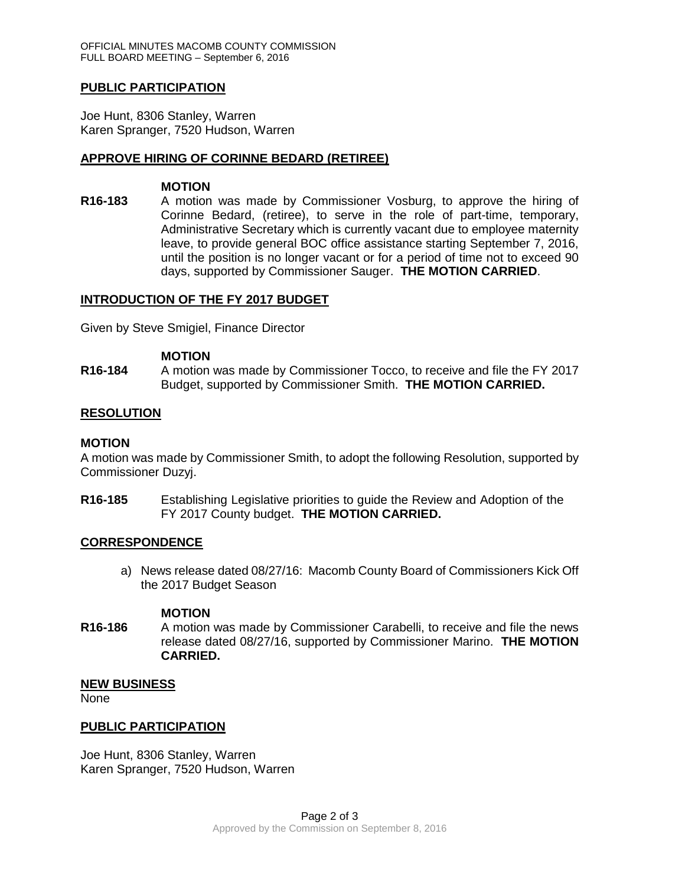### **PUBLIC PARTICIPATION**

Joe Hunt, 8306 Stanley, Warren Karen Spranger, 7520 Hudson, Warren

### **APPROVE HIRING OF CORINNE BEDARD (RETIREE)**

#### **MOTION**

**R16-183** A motion was made by Commissioner Vosburg, to approve the hiring of Corinne Bedard, (retiree), to serve in the role of part-time, temporary, Administrative Secretary which is currently vacant due to employee maternity leave, to provide general BOC office assistance starting September 7, 2016, until the position is no longer vacant or for a period of time not to exceed 90 days, supported by Commissioner Sauger. **THE MOTION CARRIED**.

### **INTRODUCTION OF THE FY 2017 BUDGET**

Given by Steve Smigiel, Finance Director

### **MOTION**

**R16-184** A motion was made by Commissioner Tocco, to receive and file the FY 2017 Budget, supported by Commissioner Smith. **THE MOTION CARRIED.**

### **RESOLUTION**

#### **MOTION**

A motion was made by Commissioner Smith, to adopt the following Resolution, supported by Commissioner Duzyj.

**R16-185** Establishing Legislative priorities to guide the Review and Adoption of the FY 2017 County budget. **THE MOTION CARRIED.**

#### **CORRESPONDENCE**

a) News release dated 08/27/16: Macomb County Board of Commissioners Kick Off the 2017 Budget Season

#### **MOTION**

**R16-186** A motion was made by Commissioner Carabelli, to receive and file the news release dated 08/27/16, supported by Commissioner Marino. **THE MOTION CARRIED.**

#### **NEW BUSINESS**

None

### **PUBLIC PARTICIPATION**

Joe Hunt, 8306 Stanley, Warren Karen Spranger, 7520 Hudson, Warren